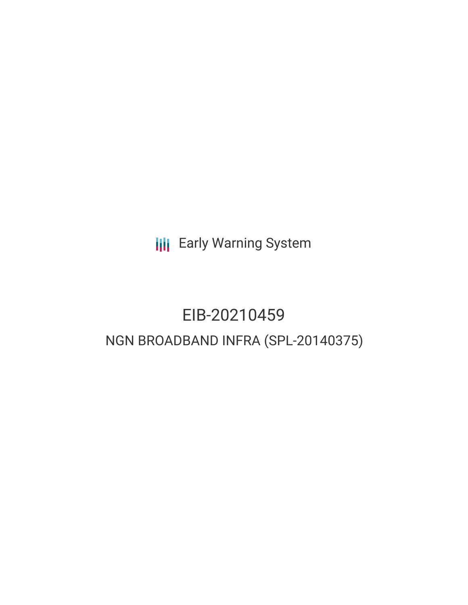**III** Early Warning System

# EIB-20210459 NGN BROADBAND INFRA (SPL-20140375)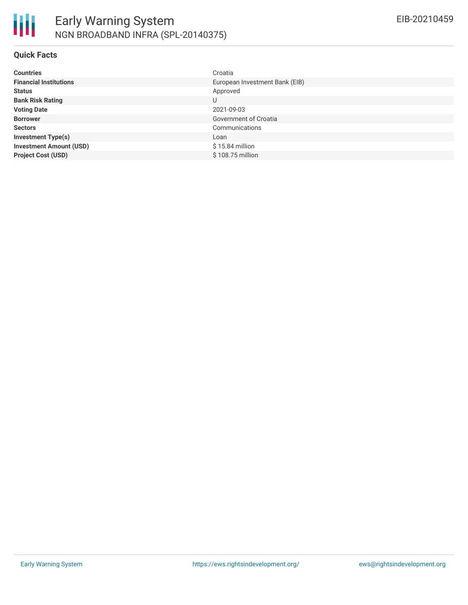

#### **Quick Facts**

| <b>Countries</b>               | Croatia                        |
|--------------------------------|--------------------------------|
| <b>Financial Institutions</b>  | European Investment Bank (EIB) |
| <b>Status</b>                  | Approved                       |
| <b>Bank Risk Rating</b>        | U                              |
| <b>Voting Date</b>             | 2021-09-03                     |
| <b>Borrower</b>                | Government of Croatia          |
| <b>Sectors</b>                 | Communications                 |
| <b>Investment Type(s)</b>      | Loan                           |
| <b>Investment Amount (USD)</b> | $$15.84$ million               |
| <b>Project Cost (USD)</b>      | \$108.75 million               |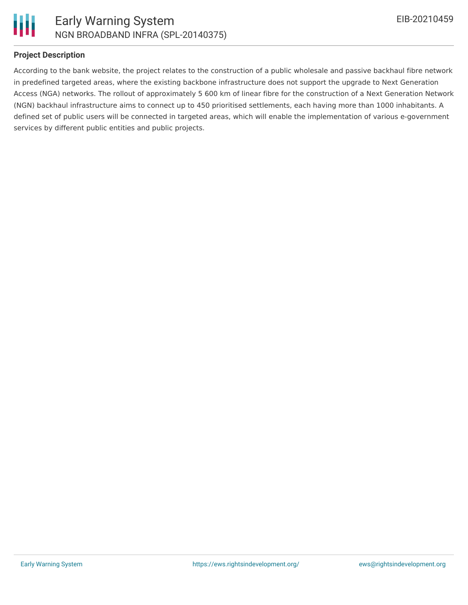

### **Project Description**

According to the bank website, the project relates to the construction of a public wholesale and passive backhaul fibre network in predefined targeted areas, where the existing backbone infrastructure does not support the upgrade to Next Generation Access (NGA) networks. The rollout of approximately 5 600 km of linear fibre for the construction of a Next Generation Network (NGN) backhaul infrastructure aims to connect up to 450 prioritised settlements, each having more than 1000 inhabitants. A defined set of public users will be connected in targeted areas, which will enable the implementation of various e-government services by different public entities and public projects.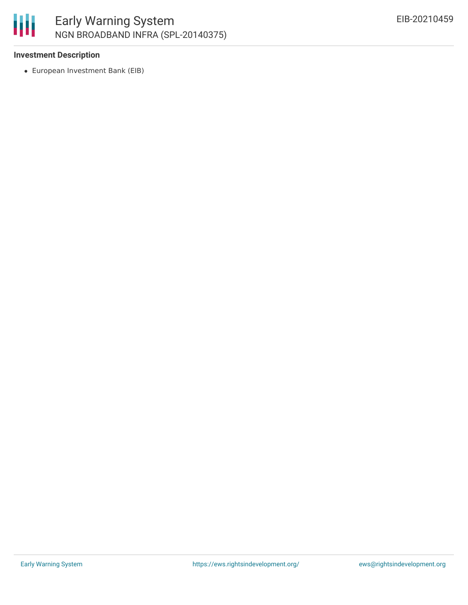

### **Investment Description**

European Investment Bank (EIB)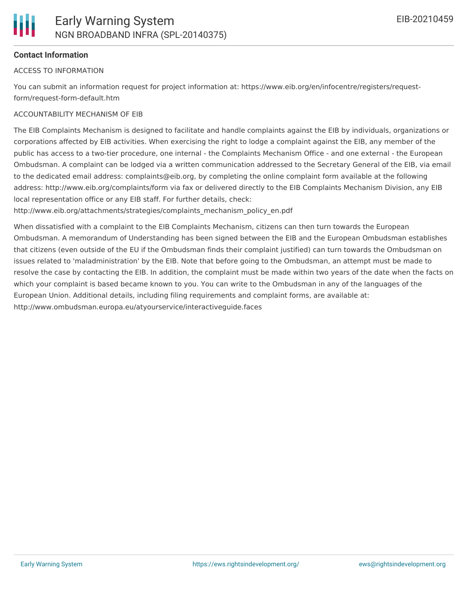## **Contact Information**

#### ACCESS TO INFORMATION

You can submit an information request for project information at: https://www.eib.org/en/infocentre/registers/requestform/request-form-default.htm

#### ACCOUNTABILITY MECHANISM OF EIB

The EIB Complaints Mechanism is designed to facilitate and handle complaints against the EIB by individuals, organizations or corporations affected by EIB activities. When exercising the right to lodge a complaint against the EIB, any member of the public has access to a two-tier procedure, one internal - the Complaints Mechanism Office - and one external - the European Ombudsman. A complaint can be lodged via a written communication addressed to the Secretary General of the EIB, via email to the dedicated email address: complaints@eib.org, by completing the online complaint form available at the following address: http://www.eib.org/complaints/form via fax or delivered directly to the EIB Complaints Mechanism Division, any EIB local representation office or any EIB staff. For further details, check:

http://www.eib.org/attachments/strategies/complaints\_mechanism\_policy\_en.pdf

When dissatisfied with a complaint to the EIB Complaints Mechanism, citizens can then turn towards the European Ombudsman. A memorandum of Understanding has been signed between the EIB and the European Ombudsman establishes that citizens (even outside of the EU if the Ombudsman finds their complaint justified) can turn towards the Ombudsman on issues related to 'maladministration' by the EIB. Note that before going to the Ombudsman, an attempt must be made to resolve the case by contacting the EIB. In addition, the complaint must be made within two years of the date when the facts on which your complaint is based became known to you. You can write to the Ombudsman in any of the languages of the European Union. Additional details, including filing requirements and complaint forms, are available at: http://www.ombudsman.europa.eu/atyourservice/interactiveguide.faces